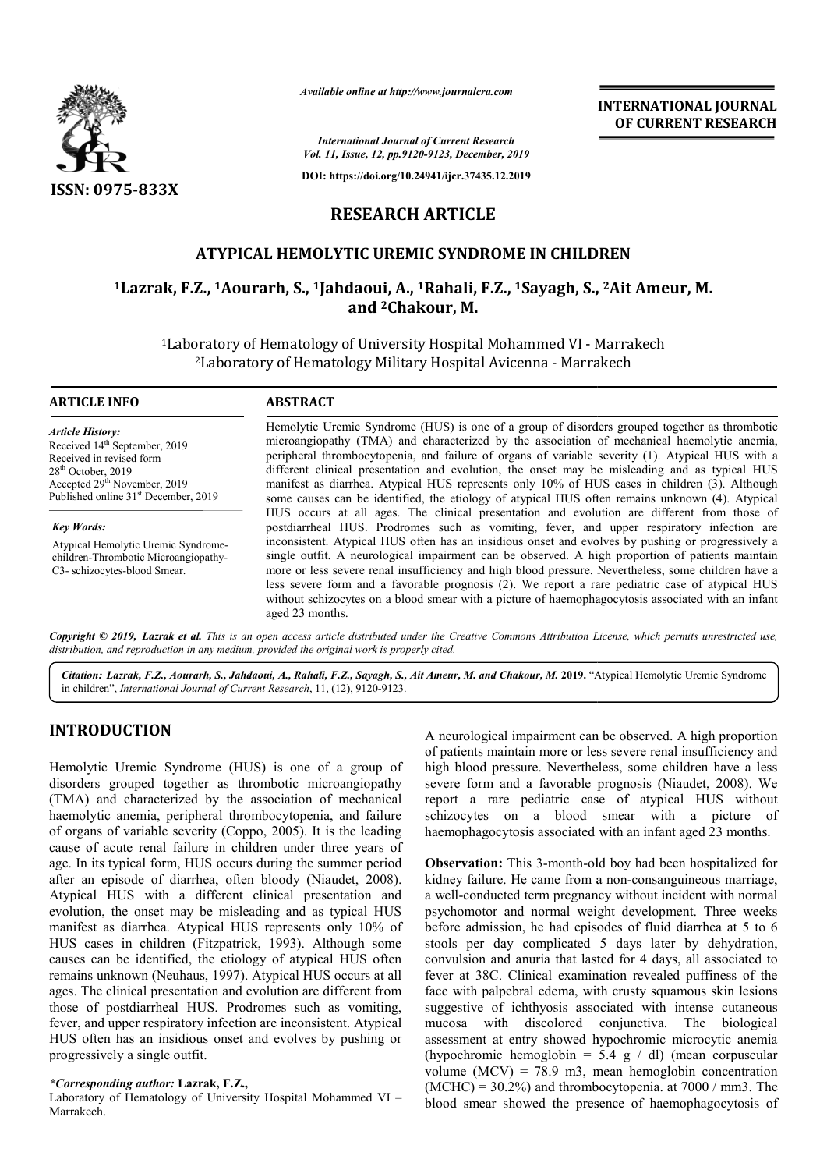

*Available online at http://www.journalcra.com*

*International Journal of Current Research Vol. 11, Issue, 12, pp.9120-9123, December, 2019*

**DOI: https://doi.org/10.24941/ijcr.37435.12.2019**

**INTERNATIONAL JOURNAL OF CURRENT RESEARCH**

## **RESEARCH ARTICLE**

## **ATYPICAL HEMOLYTIC UREMIC SYNDROME IN CHILDREN**

# **1Lazrak, F.Z., 1Aourarh, S. Aourarh, S., 1Jahdaoui, A., 1Rahali, F.Z., 1Sayagh, S., , 2Ait Ameur, M. and 2Chakour, M.**

<sup>1</sup>Laboratory of Hematology of University Hospital Mohammed VI - Marrakech <sup>2</sup>Laboratory of Hematology Military Hospital Avicenna - Marrakech

#### **ARTICLE INFO ABSTRACT**

*Article History:* Received 14<sup>th</sup> September, 2019 Received in revised form 28<sup>th</sup> October, 2019 Accepted 29<sup>th</sup> November, 2019 Published online 31<sup>st</sup> December, 2019

*Key Words:* Atypical Hemolytic Uremic Syndromechildren-Thrombotic Microangiopathy-C3- schizocytes-blood Smear.

Hemolytic Uremic Syndrome (HUS) is one of a group of disorders grouped together as thrombotic microangiopathy (TMA) and characterized by the association of mechanical haemolytic anemia, Hemolytic Uremic Syndrome (HUS) is one of a group of disorders grouped together as thrombotic microangiopathy (TMA) and characterized by the association of mechanical haemolytic anemia, peripheral thrombocytopenia, and fai different clinical presentation and evolution, the onset may be misleading and as typical HUS different clinical presentation and evolution, the onset may be misleading and as typical HUS manifest as diarrhea. Atypical HUS represents only 10% of HUS cases in children (3). Although some causes can be identified, the etiology of atypical HUS often remains unknown (4). Atypical HUS occurs at all ages. The clinical presentation and evolution are different from those of postdiarrheal HUS. Prodromes such as vomiting, fever, and upper respiratory infection are inconsistent. Atypical HUS often has an insidious onset and evolves by pushing or progressively a single outfit. A neurological impairment can be observed. A high proportion of patients maintain more or less severe renal insufficiency and high blood pressure. Nevertheless, some children have a less severe form and a favorable prognosis (2). We report a rare pediatric case of atypical HUS without schizocytes on a blood smear with a picture of haemophagocytosis associated with an infant aged 23 months. HUS occurs at all ages. The clinical presentation and evolution are different from those of postdiarrheal HUS. Prodromes such as vomiting, fever, and upper respiratory infection are inconsistent. Atypical HUS often has an

Copyright © 2019, Lazrak et al. This is an open access article distributed under the Creative Commons Attribution License, which permits unrestricted use, *distribution, and reproduction in any medium, provided the original work is properly cited.*

Citation: Lazrak, F.Z., Aourarh, S., Jahdaoui, A., Rahali, F.Z., Sayagh, S., Ait Ameur, M. and Chakour, M. 2019. "Atypical Hemolytic Uremic Syndrome in children", *International Journal of Current Research* , 11, (12), 9120-9123.

## **INTRODUCTION**

Hemolytic Uremic Syndrome (HUS) is one of a group of disorders grouped together as thrombotic microangiopathy (TMA) and characterized by the association of mechanical haemolytic anemia, peripheral thrombocytopenia, and failure of organs of variable severity (Coppo, 2005 , 2005). It is the leading cause of acute renal failure in children under three years of age. In its typical form, HUS occurs during the summer period after an episode of diarrhea, often bloody (Niaudet, 2008). Atypical HUS with a different clinical presentation and evolution, the onset may be misleading and as typical HUS manifest as diarrhea. Atypical HUS represents only 10% of HUS cases in children (Fitzpatrick, 1993). Although some causes can be identified, the etiology of atypical HUS often remains unknown (Neuhaus, 1997). Atypical HUS occurs at all ages. The clinical presentation and evolution are different from those of postdiarrheal HUS. Prodromes such as vomiting, fever, and upper respiratory infection are inconsistent. Atypical HUS often has an insidious onset and evolves by pushing or progressively a single outfit. l presentation and<br>and as typical HUS<br>sents only 10% of<br>3). Although some wm (Neuhaus, 1997). Atypical HUS occurs at all<br>ical presentation and evolution are different from<br>diarrheal HUS. Prodromes such as vomiting,<br>er respiratory infection are inconsistent. Atypical<br>s an insidious onset and evol

#### *\*Corresponding author:* **Lazrak, F.Z.,**

Laboratory of Hematology of University Hospital Mohammed VI -Marrakech.

A neurological impairment can be observed. A high proportion of patients maintain more or less severe renal insufficiency and high blood pressure. Nevertheless, some children have a less severe form and a favorable prognosis (Niaudet, 2008). We report a rare pediatric case of atypical HUS without schizocytes on a blood smear with a picture of haemophagocytosis associated with an infant aged 23 months. heurological impairment can be observed. A high proportion<br>patients maintain more or less severe renal insufficiency and<br>gh blood pressure. Nevertheless, some children have a less<br>vere form and a favorable prognosis (Niaud report a rare pediatric case of atypical HUS without schizocytes on a blood smear with a picture of haemophagocytosis associated with an infant aged 23 months.<br>**Observation:** This 3-month-old boy had been hospitalized for

**Observation:** This 3-month-old boy had been hospitalized for kidney failure. He came from a non-consanguineous marriage, a well-conducted term pregnancy without incident with normal psychomotor and normal weight development. Three weeks before admission, he had episodes of fluid diarrhea at 5 to 6 stools per day complicated 5 days later by dehydration, convulsion and anuria that lasted for 4 days, all associated to fever at 38C. Clinical examination revealed puffiness of the stools per day complicated 5 days later by dehydration, convulsion and anuria that lasted for 4 days, all associated to fever at 38C. Clinical examination revealed puffiness of the face with palpebral edema, with crusty sq suggestive of ichthyosis associated with intense cutaneous mucosa with discolored conjunctiva. The biological assessment at entry showed hypochromic microcytic anemia (hypochromic hemoglobin =  $5.4 \text{ g}$  / dl) (mean corpuscular volume (MCV) = 78.9 m3, mean hemoglobin concentration  $(MCHC) = 30.2\%$ ) and thrombocytopenia. at 7000 / mm3. The blood smear showed the presence of haemophagocytosis of conducted term pregnancy without incident with normal motor and normal weight development. Three weeks admission, he had episodes of fluid diarrhea at 5 to 6 **INTERNATIONAL JOURNAL EXECTS**<br> **INTERNATIONAL JOURNAL CONDITIONAL JOURNAL CONDITIONAL CONDITIONAL CONDITIONAL CONDITIONAL CONDITIONAL CONDITIONAL CONDITIONAL CONDITIONAL CONDITIONAL RAIGHAETICLE C SYNDROME IN CHILLDREN R**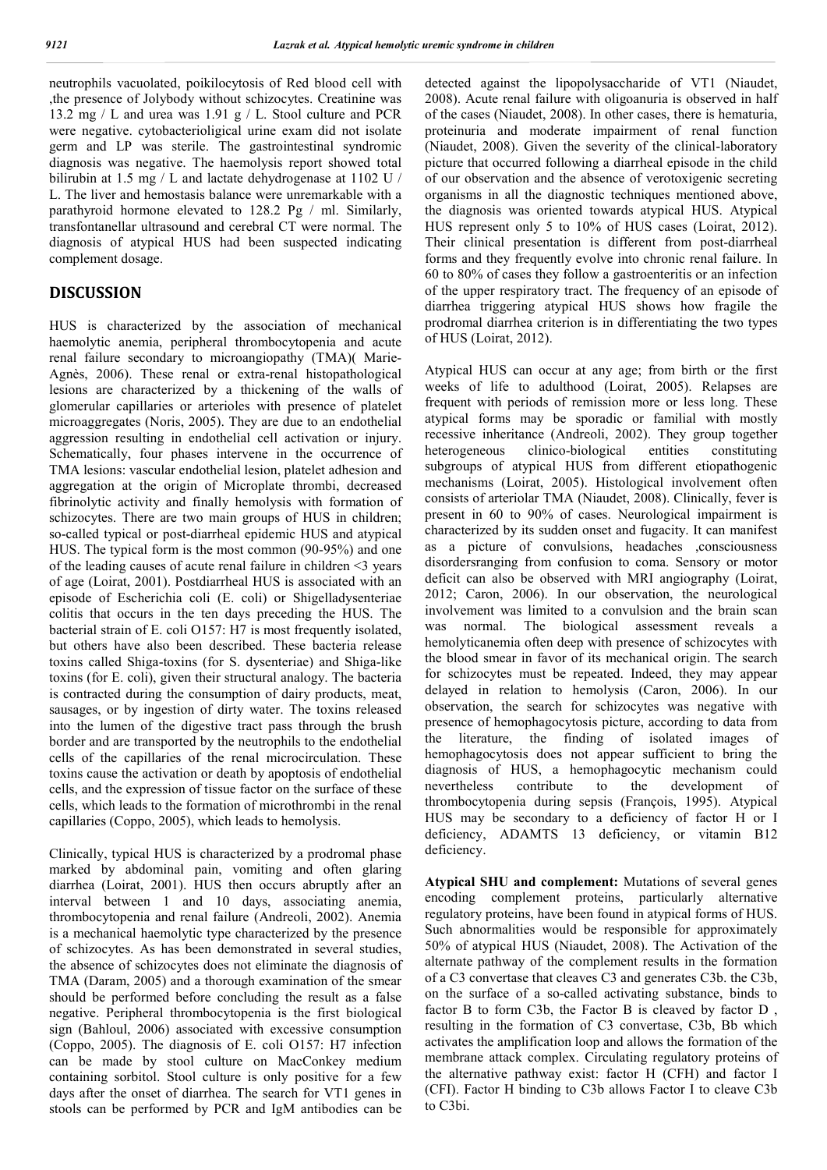neutrophils vacuolated, poikilocytosis of Red blood cell with ,the presence of Jolybody without schizocytes. Creatinine was 13.2 mg / L and urea was 1.91 g / L. Stool culture and PCR were negative. cytobacterioligical urine exam did not isolate germ and LP was sterile. The gastrointestinal syndromic diagnosis was negative. The haemolysis report showed total bilirubin at 1.5 mg / L and lactate dehydrogenase at 1102 U / L. The liver and hemostasis balance were unremarkable with a parathyroid hormone elevated to 128.2 Pg / ml. Similarly, transfontanellar ultrasound and cerebral CT were normal. The diagnosis of atypical HUS had been suspected indicating complement dosage.

#### **DISCUSSION**

HUS is characterized by the association of mechanical haemolytic anemia, peripheral thrombocytopenia and acute renal failure secondary to microangiopathy (TMA)( Marie-Agnès, 2006). These renal or extra-renal histopathological lesions are characterized by a thickening of the walls of glomerular capillaries or arterioles with presence of platelet microaggregates (Noris, 2005). They are due to an endothelial aggression resulting in endothelial cell activation or injury. Schematically, four phases intervene in the occurrence of TMA lesions: vascular endothelial lesion, platelet adhesion and aggregation at the origin of Microplate thrombi, decreased fibrinolytic activity and finally hemolysis with formation of schizocytes. There are two main groups of HUS in children; so-called typical or post-diarrheal epidemic HUS and atypical HUS. The typical form is the most common (90-95%) and one of the leading causes of acute renal failure in children <3 years of age (Loirat, 2001). Postdiarrheal HUS is associated with an episode of Escherichia coli (E. coli) or Shigelladysenteriae colitis that occurs in the ten days preceding the HUS. The bacterial strain of E. coli O157: H7 is most frequently isolated, but others have also been described. These bacteria release toxins called Shiga-toxins (for S. dysenteriae) and Shiga-like toxins (for E. coli), given their structural analogy. The bacteria is contracted during the consumption of dairy products, meat, sausages, or by ingestion of dirty water. The toxins released into the lumen of the digestive tract pass through the brush border and are transported by the neutrophils to the endothelial cells of the capillaries of the renal microcirculation. These toxins cause the activation or death by apoptosis of endothelial cells, and the expression of tissue factor on the surface of these cells, which leads to the formation of microthrombi in the renal capillaries (Coppo, 2005), which leads to hemolysis.

Clinically, typical HUS is characterized by a prodromal phase marked by abdominal pain, vomiting and often glaring diarrhea (Loirat, 2001). HUS then occurs abruptly after an interval between 1 and 10 days, associating anemia, thrombocytopenia and renal failure (Andreoli, 2002). Anemia is a mechanical haemolytic type characterized by the presence of schizocytes. As has been demonstrated in several studies, the absence of schizocytes does not eliminate the diagnosis of TMA (Daram, 2005) and a thorough examination of the smear should be performed before concluding the result as a false negative. Peripheral thrombocytopenia is the first biological sign (Bahloul, 2006) associated with excessive consumption (Coppo, 2005). The diagnosis of E. coli O157: H7 infection can be made by stool culture on MacConkey medium containing sorbitol. Stool culture is only positive for a few days after the onset of diarrhea. The search for VT1 genes in stools can be performed by PCR and IgM antibodies can be

detected against the lipopolysaccharide of VT1 (Niaudet, 2008). Acute renal failure with oligoanuria is observed in half of the cases (Niaudet, 2008). In other cases, there is hematuria, proteinuria and moderate impairment of renal function (Niaudet, 2008). Given the severity of the clinical-laboratory picture that occurred following a diarrheal episode in the child of our observation and the absence of verotoxigenic secreting organisms in all the diagnostic techniques mentioned above, the diagnosis was oriented towards atypical HUS. Atypical HUS represent only 5 to 10% of HUS cases (Loirat, 2012). Their clinical presentation is different from post-diarrheal forms and they frequently evolve into chronic renal failure. In 60 to 80% of cases they follow a gastroenteritis or an infection of the upper respiratory tract. The frequency of an episode of diarrhea triggering atypical HUS shows how fragile the prodromal diarrhea criterion is in differentiating the two types of HUS (Loirat, 2012).

Atypical HUS can occur at any age; from birth or the first weeks of life to adulthood (Loirat, 2005). Relapses are frequent with periods of remission more or less long. These atypical forms may be sporadic or familial with mostly recessive inheritance (Andreoli, 2002). They group together heterogeneous clinico-biological entities constituting subgroups of atypical HUS from different etiopathogenic mechanisms (Loirat, 2005). Histological involvement often consists of arteriolar TMA (Niaudet, 2008). Clinically, fever is present in 60 to 90% of cases. Neurological impairment is characterized by its sudden onset and fugacity. It can manifest as a picture of convulsions, headaches ,consciousness disordersranging from confusion to coma. Sensory or motor deficit can also be observed with MRI angiography (Loirat, 2012; Caron, 2006). In our observation, the neurological involvement was limited to a convulsion and the brain scan was normal. The biological assessment reveals a hemolyticanemia often deep with presence of schizocytes with the blood smear in favor of its mechanical origin. The search for schizocytes must be repeated. Indeed, they may appear delayed in relation to hemolysis (Caron, 2006). In our observation, the search for schizocytes was negative with presence of hemophagocytosis picture, according to data from the literature, the finding of isolated images of hemophagocytosis does not appear sufficient to bring the diagnosis of HUS, a hemophagocytic mechanism could nevertheless contribute to the development of thrombocytopenia during sepsis (François, 1995). Atypical HUS may be secondary to a deficiency of factor H or I deficiency, ADAMTS 13 deficiency, or vitamin B12 deficiency.

**Atypical SHU and complement:** Mutations of several genes encoding complement proteins, particularly alternative regulatory proteins, have been found in atypical forms of HUS. Such abnormalities would be responsible for approximately 50% of atypical HUS (Niaudet, 2008). The Activation of the alternate pathway of the complement results in the formation of a C3 convertase that cleaves C3 and generates C3b. the C3b, on the surface of a so-called activating substance, binds to factor B to form C3b, the Factor B is cleaved by factor D , resulting in the formation of C3 convertase, C3b, Bb which activates the amplification loop and allows the formation of the membrane attack complex. Circulating regulatory proteins of the alternative pathway exist: factor H (CFH) and factor I (CFI). Factor H binding to C3b allows Factor I to cleave C3b to C3bi.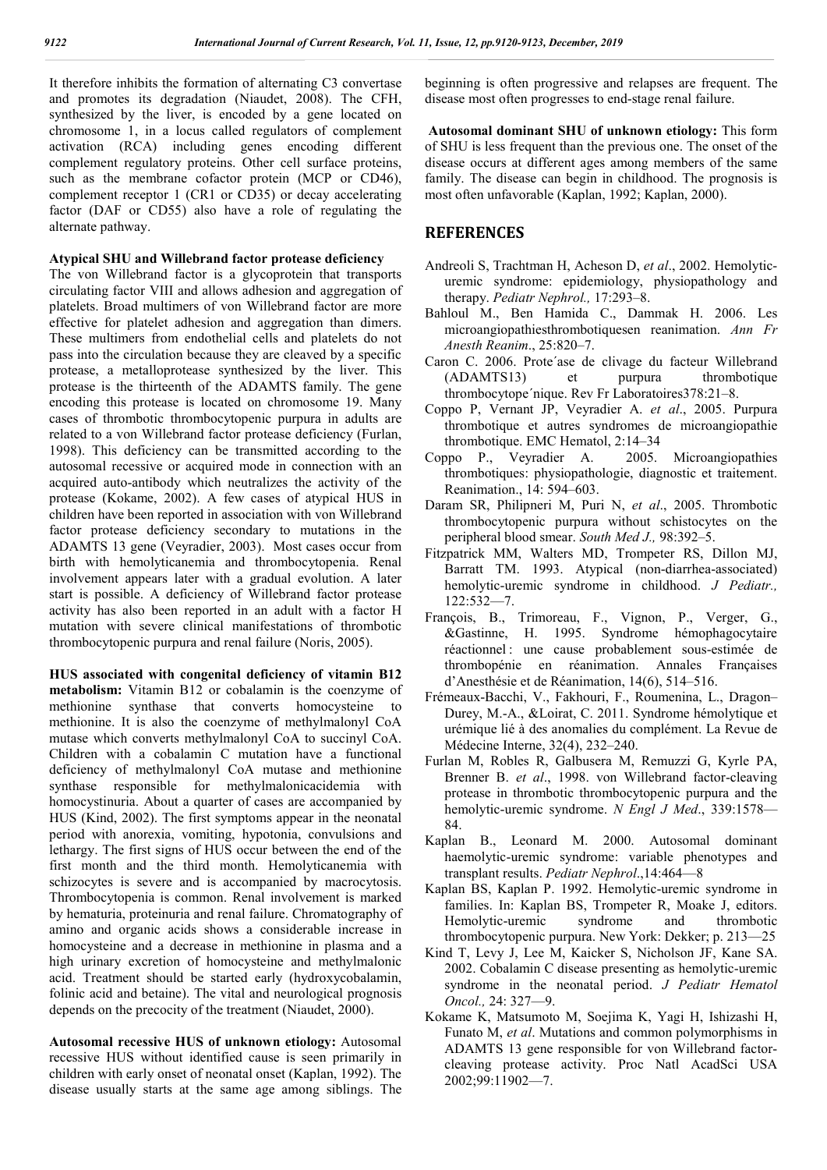It therefore inhibits the formation of alternating C3 convertase and promotes its degradation (Niaudet, 2008). The CFH, synthesized by the liver, is encoded by a gene located on chromosome 1, in a locus called regulators of complement activation (RCA) including genes encoding different complement regulatory proteins. Other cell surface proteins, such as the membrane cofactor protein (MCP or CD46), complement receptor 1 (CR1 or CD35) or decay accelerating factor (DAF or CD55) also have a role of regulating the alternate pathway.

#### **Atypical SHU and Willebrand factor protease deficiency**

The von Willebrand factor is a glycoprotein that transports circulating factor VIII and allows adhesion and aggregation of platelets. Broad multimers of von Willebrand factor are more effective for platelet adhesion and aggregation than dimers. These multimers from endothelial cells and platelets do not pass into the circulation because they are cleaved by a specific protease, a metalloprotease synthesized by the liver. This protease is the thirteenth of the ADAMTS family. The gene encoding this protease is located on chromosome 19. Many cases of thrombotic thrombocytopenic purpura in adults are related to a von Willebrand factor protease deficiency (Furlan, 1998). This deficiency can be transmitted according to the autosomal recessive or acquired mode in connection with an acquired auto-antibody which neutralizes the activity of the protease (Kokame, 2002). A few cases of atypical HUS in children have been reported in association with von Willebrand factor protease deficiency secondary to mutations in the ADAMTS 13 gene (Veyradier, 2003). Most cases occur from birth with hemolyticanemia and thrombocytopenia. Renal involvement appears later with a gradual evolution. A later start is possible. A deficiency of Willebrand factor protease activity has also been reported in an adult with a factor H mutation with severe clinical manifestations of thrombotic thrombocytopenic purpura and renal failure (Noris, 2005).

**HUS associated with congenital deficiency of vitamin B12 metabolism:** Vitamin B12 or cobalamin is the coenzyme of methionine synthase that converts homocysteine to methionine. It is also the coenzyme of methylmalonyl CoA mutase which converts methylmalonyl CoA to succinyl CoA. Children with a cobalamin C mutation have a functional deficiency of methylmalonyl CoA mutase and methionine synthase responsible for methylmalonicacidemia with homocystinuria. About a quarter of cases are accompanied by HUS (Kind, 2002). The first symptoms appear in the neonatal period with anorexia, vomiting, hypotonia, convulsions and lethargy. The first signs of HUS occur between the end of the first month and the third month. Hemolyticanemia with schizocytes is severe and is accompanied by macrocytosis. Thrombocytopenia is common. Renal involvement is marked by hematuria, proteinuria and renal failure. Chromatography of amino and organic acids shows a considerable increase in homocysteine and a decrease in methionine in plasma and a high urinary excretion of homocysteine and methylmalonic acid. Treatment should be started early (hydroxycobalamin, folinic acid and betaine). The vital and neurological prognosis depends on the precocity of the treatment (Niaudet, 2000).

**Autosomal recessive HUS of unknown etiology:** Autosomal recessive HUS without identified cause is seen primarily in children with early onset of neonatal onset (Kaplan, 1992). The disease usually starts at the same age among siblings. The beginning is often progressive and relapses are frequent. The disease most often progresses to end-stage renal failure.

**Autosomal dominant SHU of unknown etiology:** This form of SHU is less frequent than the previous one. The onset of the disease occurs at different ages among members of the same family. The disease can begin in childhood. The prognosis is most often unfavorable (Kaplan, 1992; Kaplan, 2000).

# **REFERENCES**

- Andreoli S, Trachtman H, Acheson D, *et al*., 2002. Hemolyticuremic syndrome: epidemiology, physiopathology and therapy. *Pediatr Nephrol.,* 17:293–8.
- Bahloul M., Ben Hamida C., Dammak H. 2006. Les microangiopathiesthrombotiquesen reanimation. *Ann Fr Anesth Reanim*., 25:820–7.
- Caron C. 2006. Prote´ase de clivage du facteur Willebrand (ADAMTS13) et purpura thrombotique thrombocytope´nique. Rev Fr Laboratoires378:21–8.
- Coppo P, Vernant JP, Veyradier A. *et al*., 2005. Purpura thrombotique et autres syndromes de microangiopathie thrombotique. EMC Hematol, 2:14–34
- Coppo P., Veyradier A. 2005. Microangiopathies thrombotiques: physiopathologie, diagnostic et traitement. Reanimation., 14: 594–603.
- Daram SR, Philipneri M, Puri N, *et al*., 2005. Thrombotic thrombocytopenic purpura without schistocytes on the peripheral blood smear. *South Med J.,* 98:392–5.
- Fitzpatrick MM, Walters MD, Trompeter RS, Dillon MJ, Barratt TM. 1993. Atypical (non-diarrhea-associated) hemolytic-uremic syndrome in childhood. *J Pediatr.,* 122:532—7.
- François, B., Trimoreau, F., Vignon, P., Verger, G., &Gastinne, H. 1995. Syndrome hémophagocytaire réactionnel : une cause probablement sous-estimée de thrombopénie en réanimation. Annales Françaises d'Anesthésie et de Réanimation, 14(6), 514–516.
- Frémeaux-Bacchi, V., Fakhouri, F., Roumenina, L., Dragon– Durey, M.-A., &Loirat, C. 2011. Syndrome hémolytique et urémique lié à des anomalies du complément. La Revue de Médecine Interne, 32(4), 232–240.
- Furlan M, Robles R, Galbusera M, Remuzzi G, Kyrle PA, Brenner B. *et al*., 1998. von Willebrand factor-cleaving protease in thrombotic thrombocytopenic purpura and the hemolytic-uremic syndrome. *N Engl J Med*., 339:1578— 84.
- Kaplan B., Leonard M. 2000. Autosomal dominant haemolytic-uremic syndrome: variable phenotypes and transplant results. *Pediatr Nephrol*.,14:464—8
- Kaplan BS, Kaplan P. 1992. Hemolytic-uremic syndrome in families. In: Kaplan BS, Trompeter R, Moake J, editors.<br>Hemolytic-uremic syndrome and thrombotic Hemolytic-uremic syndrome and thrombotic thrombocytopenic purpura. New York: Dekker; p. 213—25
- Kind T, Levy J, Lee M, Kaicker S, Nicholson JF, Kane SA. 2002. Cobalamin C disease presenting as hemolytic-uremic syndrome in the neonatal period. *J Pediatr Hematol Oncol.,* 24: 327—9.
- Kokame K, Matsumoto M, Soejima K, Yagi H, Ishizashi H, Funato M, *et al*. Mutations and common polymorphisms in ADAMTS 13 gene responsible for von Willebrand factorcleaving protease activity. Proc Natl AcadSci USA 2002;99:11902—7.